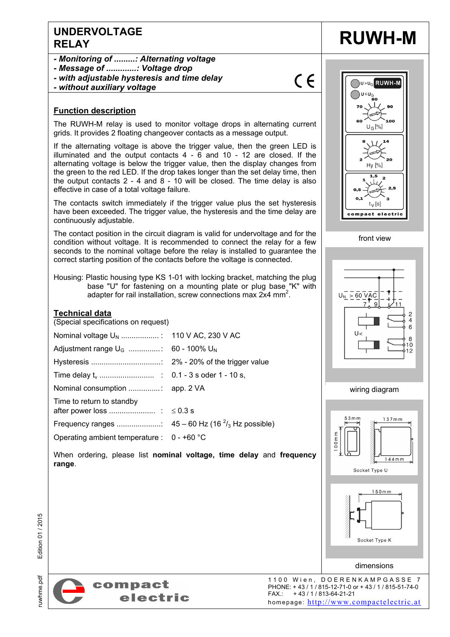# **UNDERVOLTAGE**  UNDERVOLTAGE **RUWH-M**

- *Monitoring of .........: Alternating voltage*
- *Message of .............: Voltage drop*
- *with adjustable hysteresis and time delay*
- *without auxiliary voltage*

### **Function description**

The RUWH-M relay is used to monitor voltage drops in alternating current grids. It provides 2 floating changeover contacts as a message output.

If the alternating voltage is above the trigger value, then the green LED is illuminated and the output contacts 4 - 6 and 10 - 12 are closed. If the alternating voltage is below the trigger value, then the display changes from the green to the red LED. If the drop takes longer than the set delay time, then the output contacts 2 - 4 and 8 - 10 will be closed. The time delay is also effective in case of a total voltage failure.

The contacts switch immediately if the trigger value plus the set hysteresis have been exceeded. The trigger value, the hysteresis and the time delay are continuously adjustable.

The contact position in the circuit diagram is valid for undervoltage and for the condition without voltage. It is recommended to connect the relay for a few seconds to the nominal voltage before the relay is installed to guarantee the correct starting position of the contacts before the voltage is connected.

Housing: Plastic housing type KS 1-01 with locking bracket, matching the plug base "U" for fastening on a mounting plate or plug base "K" with adapter for rail installation, screw connections max 2x4 mm<sup>2</sup>.

When ordering, please list **nominal voltage, time delay** and **frequency** 

#### **Technical data**

(Special specifications on request)

| Adjustment range $U_G$ : 60 - 100% $U_N$     |  |
|----------------------------------------------|--|
|                                              |  |
|                                              |  |
|                                              |  |
| Time to return to standby                    |  |
|                                              |  |
| Operating ambient temperature : $0 - +60$ °C |  |









dimensions

Socket Type K



uwhme.pdf

**range**.



1100 Wien, DOERENKAMPGASSE 7 PHONE: + 43 / 1 / 815-12-71-0 or + 43 / 1 / 815-51-74-0 FAX.: + 43 / 1 / 813-64-21-21 homepage: http://www.compactelectric.at

 $\epsilon$